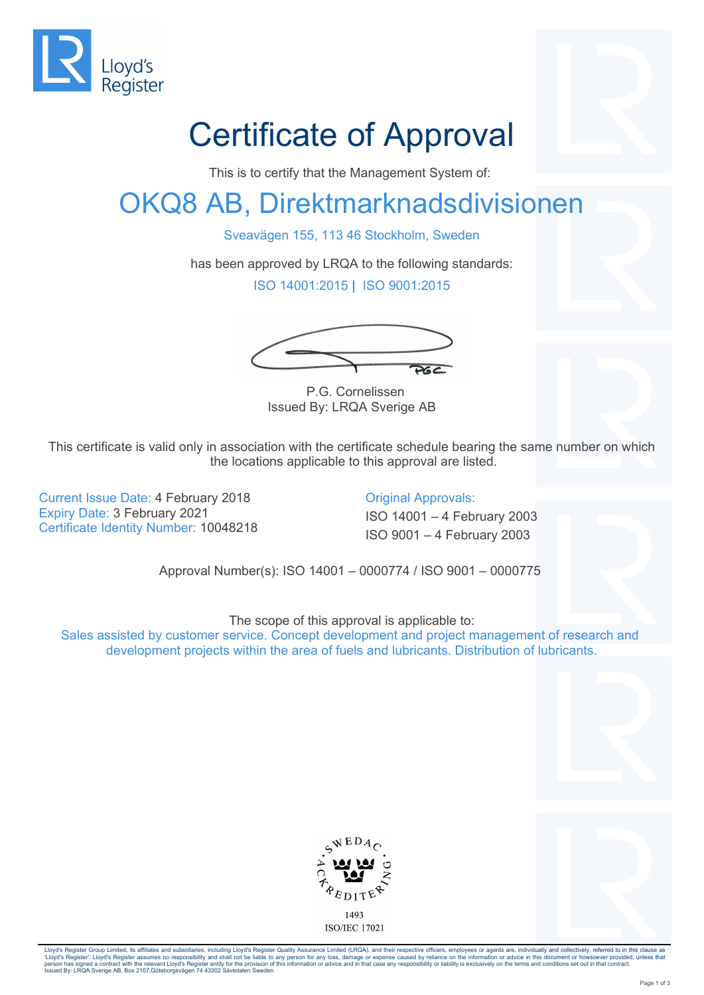

## Certificate of Approval

This is to certify that the Management System of:

## OKQ8 AB, Direktmarknadsdivisionen

Sveavägen 155, 113 46 Stockholm, Sweden

has been approved by LRQA to the following standards:

ISO 14001:2015 **|** ISO 9001:2015

 $262$ 

 P.G. Cornelissen Issued By: LRQA Sverige AB

This certificate is valid only in association with the certificate schedule bearing the same number on which the locations applicable to this approval are listed.

Current Issue Date: 4 February 2018 Current Issue Date: 4 February 2018 Expiry Date: 3 February 2021 **ISO 14001** – 4 February 2003 Certificate Identity Number: 10048218<br>ISO 9001 – 4 February 2003

Approval Number(s): ISO 14001 – 0000774 / ISO 9001 – 0000775

The scope of this approval is applicable to:

Sales assisted by customer service. Concept development and project management of research and development projects within the area of fuels and lubricants. Distribution of lubricants.





Lloyd's Register Group Limited, its affiliates and subsidiaries, including Lloyd's Register Quality Assurance Limited (LRQA), and their respective officers, employees or agents are, individually and collectively, referred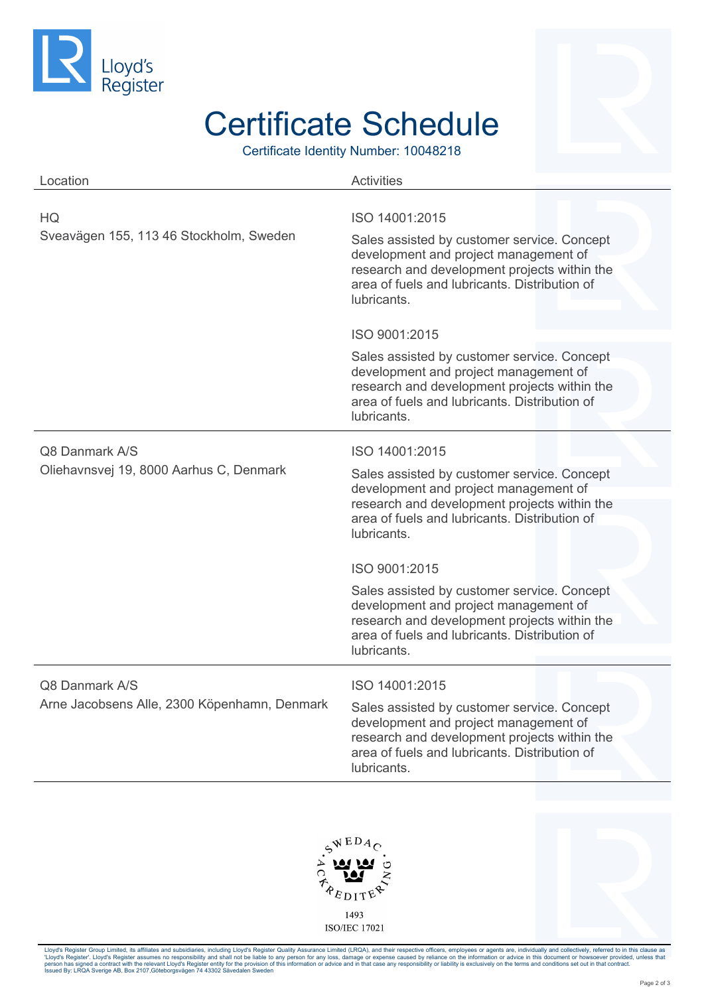

## Certificate Schedule

Certificate Identity Number: 10048218

| Location                                     | <b>Activities</b>                                                                                                                                                                                    |
|----------------------------------------------|------------------------------------------------------------------------------------------------------------------------------------------------------------------------------------------------------|
| HQ.                                          | ISO 14001:2015                                                                                                                                                                                       |
| Sveavägen 155, 113 46 Stockholm, Sweden      | Sales assisted by customer service. Concept<br>development and project management of<br>research and development projects within the<br>area of fuels and lubricants. Distribution of<br>lubricants. |
|                                              | ISO 9001:2015                                                                                                                                                                                        |
|                                              | Sales assisted by customer service. Concept<br>development and project management of<br>research and development projects within the<br>area of fuels and lubricants. Distribution of<br>lubricants. |
| Q8 Danmark A/S                               | ISO 14001:2015                                                                                                                                                                                       |
| Oliehavnsvej 19, 8000 Aarhus C, Denmark      | Sales assisted by customer service. Concept<br>development and project management of<br>research and development projects within the<br>area of fuels and lubricants. Distribution of<br>lubricants. |
|                                              | ISO 9001:2015                                                                                                                                                                                        |
|                                              | Sales assisted by customer service. Concept<br>development and project management of<br>research and development projects within the<br>area of fuels and lubricants. Distribution of<br>lubricants. |
|                                              |                                                                                                                                                                                                      |
| Q8 Danmark A/S                               | ISO 14001:2015                                                                                                                                                                                       |
| Arne Jacobsens Alle, 2300 Köpenhamn, Denmark | Sales assisted by customer service. Concept<br>development and project management of<br>research and development projects within the<br>area of fuels and lubricants. Distribution of<br>lubricants. |





Lloyd's Register Group Limited, its affiliates and subsidiaries, including Lloyd's Register Quality Assurance Limited (LRQA), and their respective officers, employees or agents are, individually and collectively, referred